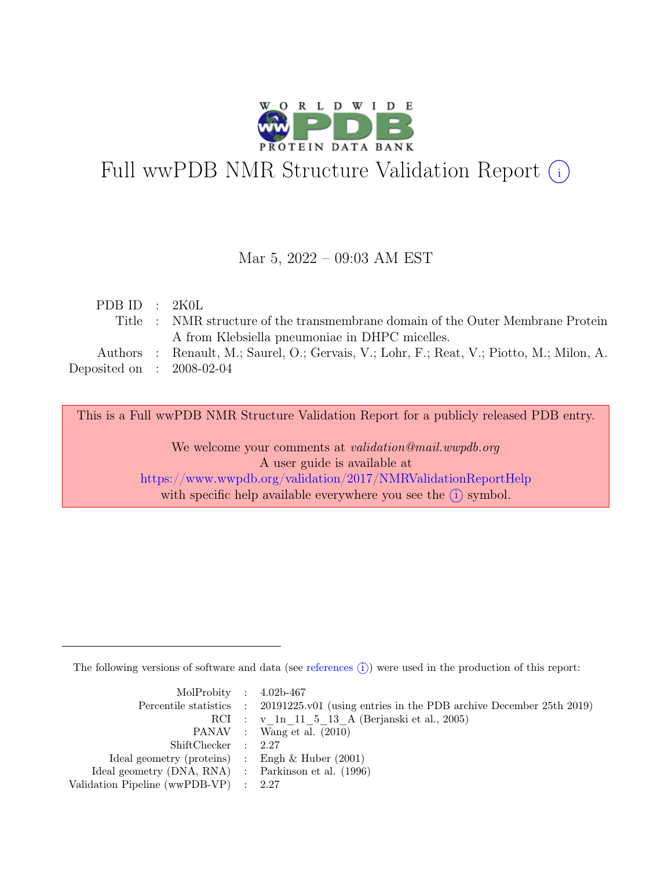

# Full wwPDB NMR Structure Validation Report (i)

#### Mar 5, 2022 – 09:03 AM EST

| PDB ID : $2K0L$                                                                           |
|-------------------------------------------------------------------------------------------|
| Title : NMR structure of the transmembrane domain of the Outer Membrane Protein           |
| A from Klebsiella pneumoniae in DHPC micelles.                                            |
| Authors : Renault, M.; Saurel, O.; Gervais, V.; Lohr, F.; Reat, V.; Piotto, M.; Milon, A. |
| Deposited on : $2008-02-04$                                                               |
|                                                                                           |

This is a Full wwPDB NMR Structure Validation Report for a publicly released PDB entry.

We welcome your comments at *validation@mail.wwpdb.org* A user guide is available at <https://www.wwpdb.org/validation/2017/NMRValidationReportHelp> with specific help available everywhere you see the  $(i)$  symbol.

The following versions of software and data (see [references](https://www.wwpdb.org/validation/2017/NMRValidationReportHelp#references)  $\hat{I}$ ) were used in the production of this report:

| MolProbity : $4.02b-467$                            |                                                                                            |
|-----------------------------------------------------|--------------------------------------------------------------------------------------------|
|                                                     | Percentile statistics : 20191225.v01 (using entries in the PDB archive December 25th 2019) |
|                                                     | RCI : v 1n 11 5 13 A (Berjanski et al., 2005)                                              |
|                                                     | PANAV : Wang et al. (2010)                                                                 |
| ShiftChecker : 2.27                                 |                                                                                            |
| Ideal geometry (proteins) : Engh $\&$ Huber (2001)  |                                                                                            |
| Ideal geometry (DNA, RNA) : Parkinson et al. (1996) |                                                                                            |
| Validation Pipeline (wwPDB-VP) : 2.27               |                                                                                            |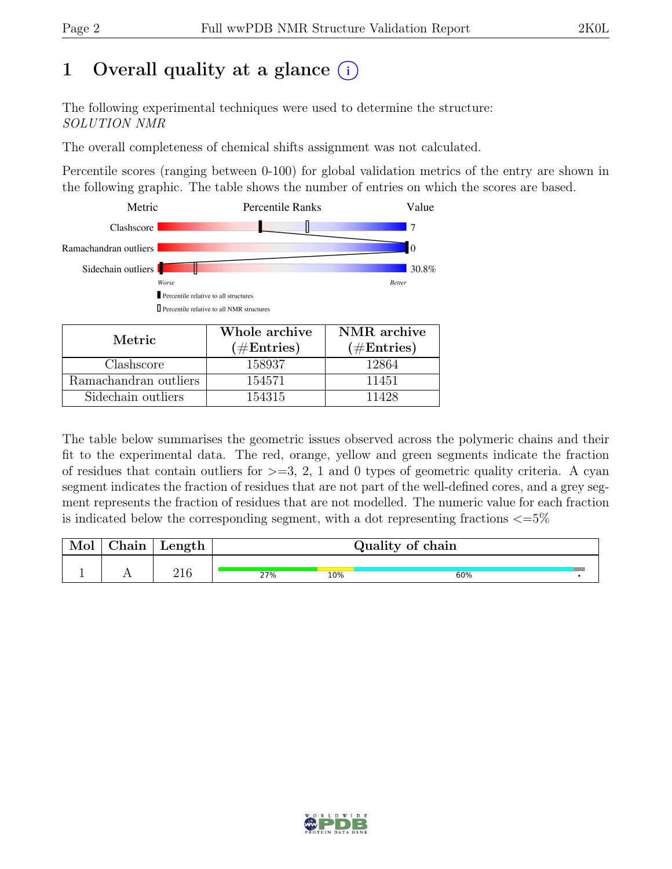# 1 Overall quality at a glance  $(i)$

The following experimental techniques were used to determine the structure: SOLUTION NMR

The overall completeness of chemical shifts assignment was not calculated.

Percentile scores (ranging between 0-100) for global validation metrics of the entry are shown in the following graphic. The table shows the number of entries on which the scores are based.



| Metric                | <u> v noro al chive</u><br>$(\#Entries)$ | $1111111$ at $01111$<br>$(\#Entries)$ |
|-----------------------|------------------------------------------|---------------------------------------|
| Clashscore            | 158937                                   | 12864                                 |
| Ramachandran outliers | 154571                                   | 11451                                 |
| Sidechain outliers    | 154315                                   | 11428                                 |

The table below summarises the geometric issues observed across the polymeric chains and their fit to the experimental data. The red, orange, yellow and green segments indicate the fraction of residues that contain outliers for  $>=$  3, 2, 1 and 0 types of geometric quality criteria. A cyan segment indicates the fraction of residues that are not part of the well-defined cores, and a grey segment represents the fraction of residues that are not modelled. The numeric value for each fraction is indicated below the corresponding segment, with a dot representing fractions  $\langle=5\%$ 

| Mol | Chain | $\vert$ Length $\vert$ |     |     | Quality of chain |  |
|-----|-------|------------------------|-----|-----|------------------|--|
|     |       | 216                    | 27% | 10% | 60%              |  |

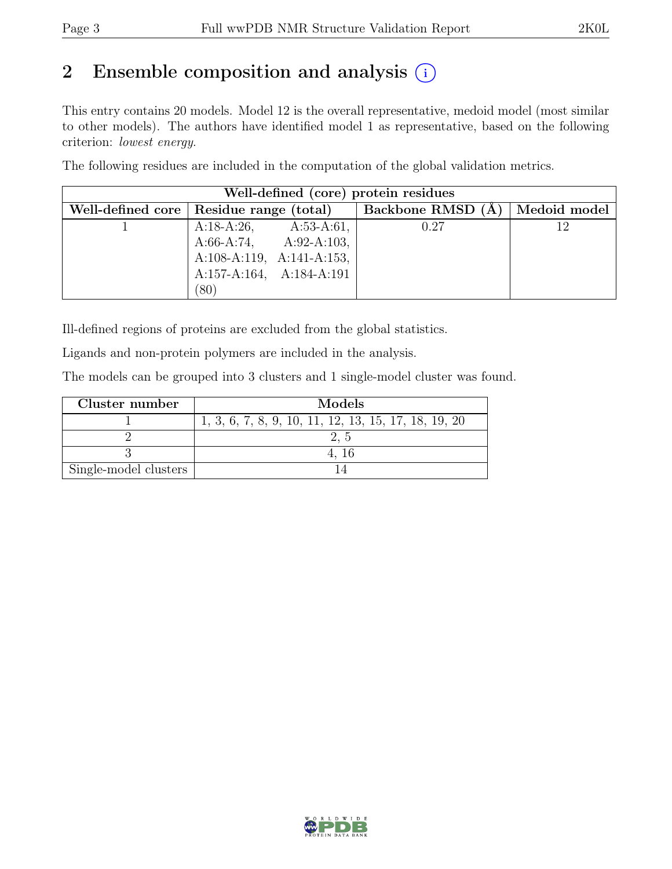## 2 Ensemble composition and analysis  $(i)$

This entry contains 20 models. Model 12 is the overall representative, medoid model (most similar to other models). The authors have identified model 1 as representative, based on the following criterion: lowest energy.

The following residues are included in the computation of the global validation metrics.

|                                           |                               |                           | Well-defined (core) protein residues |              |
|-------------------------------------------|-------------------------------|---------------------------|--------------------------------------|--------------|
| Well-defined core   Residue range (total) |                               |                           | Backbone RMSD (Å)                    | Medoid model |
|                                           | A:18-A:26,                    | $A:53-A:61,$              | 0.27                                 | 12           |
|                                           |                               | $A:66-A:74, A:92-A:103,$  |                                      |              |
|                                           |                               | A:108-A:119, A:141-A:153, |                                      |              |
|                                           | $A:157-A:164$ , $A:184-A:191$ |                           |                                      |              |
|                                           | (80)                          |                           |                                      |              |

Ill-defined regions of proteins are excluded from the global statistics.

Ligands and non-protein polymers are included in the analysis.

The models can be grouped into 3 clusters and 1 single-model cluster was found.

| Cluster number        | Models                                               |
|-----------------------|------------------------------------------------------|
|                       | 1, 3, 6, 7, 8, 9, 10, 11, 12, 13, 15, 17, 18, 19, 20 |
|                       |                                                      |
|                       |                                                      |
| Single-model clusters |                                                      |

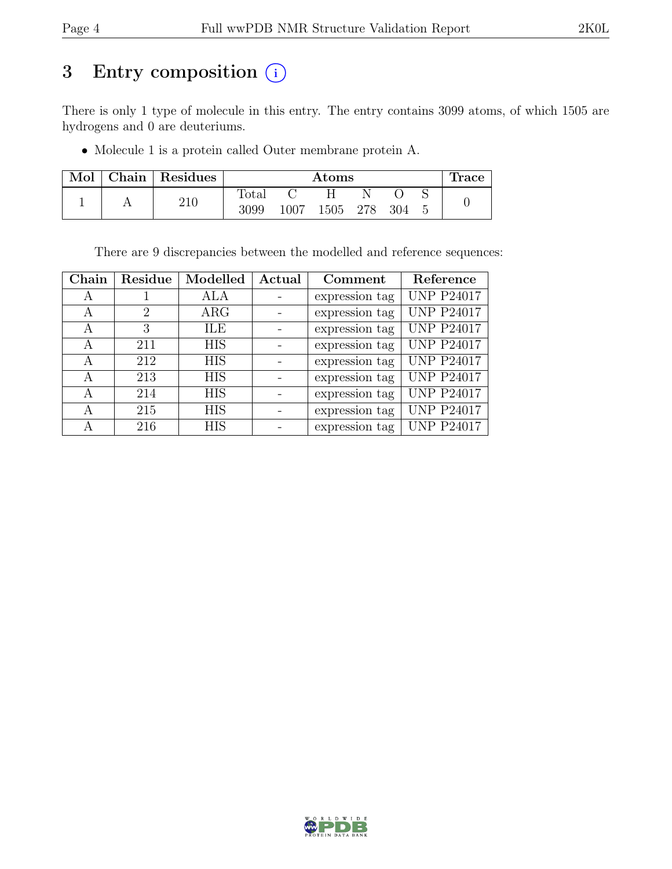# 3 Entry composition  $(i)$

There is only 1 type of molecule in this entry. The entry contains 3099 atoms, of which 1505 are hydrogens and 0 are deuteriums.

• Molecule 1 is a protein called Outer membrane protein A.

| Mol | Chain | Residues |                | $\rm{Atoms}$ |      |     |     | race |
|-----|-------|----------|----------------|--------------|------|-----|-----|------|
|     |       |          | $_{\rm Total}$ |              |      |     |     |      |
|     |       | 210      | 3099           | 1007         | 1505 | 278 | 304 |      |

There are 9 discrepancies between the modelled and reference sequences:

| Chain | Residue | Modelled   | Actual | Comment        | Reference         |
|-------|---------|------------|--------|----------------|-------------------|
| А     |         | ALA        |        | expression tag | <b>UNP P24017</b> |
| А     | 2       | $\rm{ARG}$ |        | expression tag | <b>UNP P24017</b> |
| А     | 3       | ILE        |        | expression tag | <b>UNP P24017</b> |
| A     | 211     | <b>HIS</b> |        | expression tag | <b>UNP P24017</b> |
| А     | 212     | <b>HIS</b> |        | expression tag | <b>UNP P24017</b> |
| A     | 213     | <b>HIS</b> |        | expression tag | <b>UNP P24017</b> |
| А     | 214     | <b>HIS</b> |        | expression tag | <b>UNP P24017</b> |
| А     | 215     | <b>HIS</b> |        | expression tag | <b>UNP P24017</b> |
| А     | 216     | <b>HIS</b> |        | expression tag | <b>UNP P24017</b> |

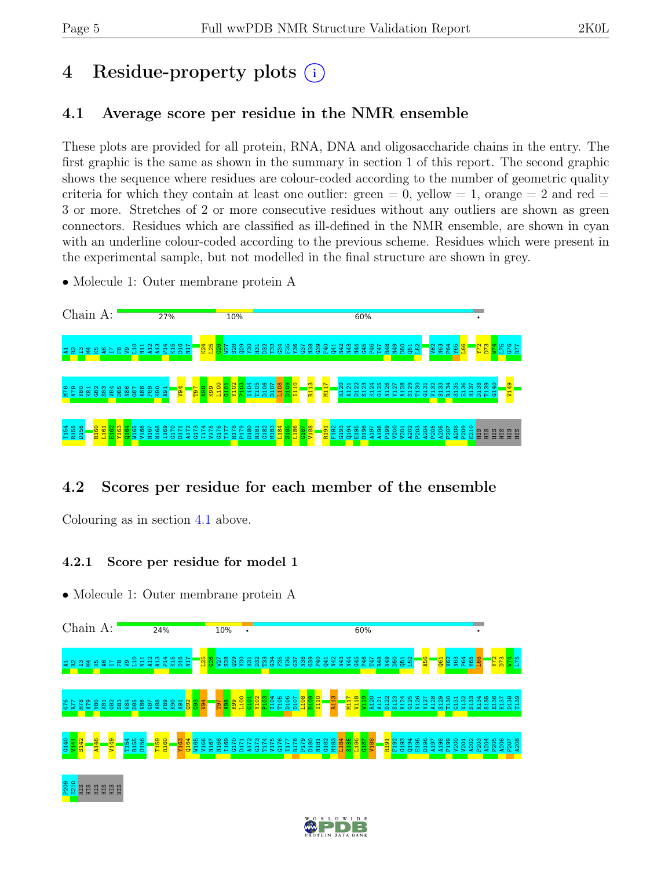# 4 Residue-property plots (i)

#### <span id="page-4-0"></span>4.1 Average score per residue in the NMR ensemble

These plots are provided for all protein, RNA, DNA and oligosaccharide chains in the entry. The first graphic is the same as shown in the summary in section 1 of this report. The second graphic shows the sequence where residues are colour-coded according to the number of geometric quality criteria for which they contain at least one outlier: green  $= 0$ , yellow  $= 1$ , orange  $= 2$  and red  $=$ 3 or more. Stretches of 2 or more consecutive residues without any outliers are shown as green connectors. Residues which are classified as ill-defined in the NMR ensemble, are shown in cyan with an underline colour-coded according to the previous scheme. Residues which were present in the experimental sample, but not modelled in the final structure are shown in grey.

• Molecule 1: Outer membrane protein A



#### 4.2 Scores per residue for each member of the ensemble

Colouring as in section [4.1](#page-4-0) above.

#### 4.2.1 Score per residue for model 1



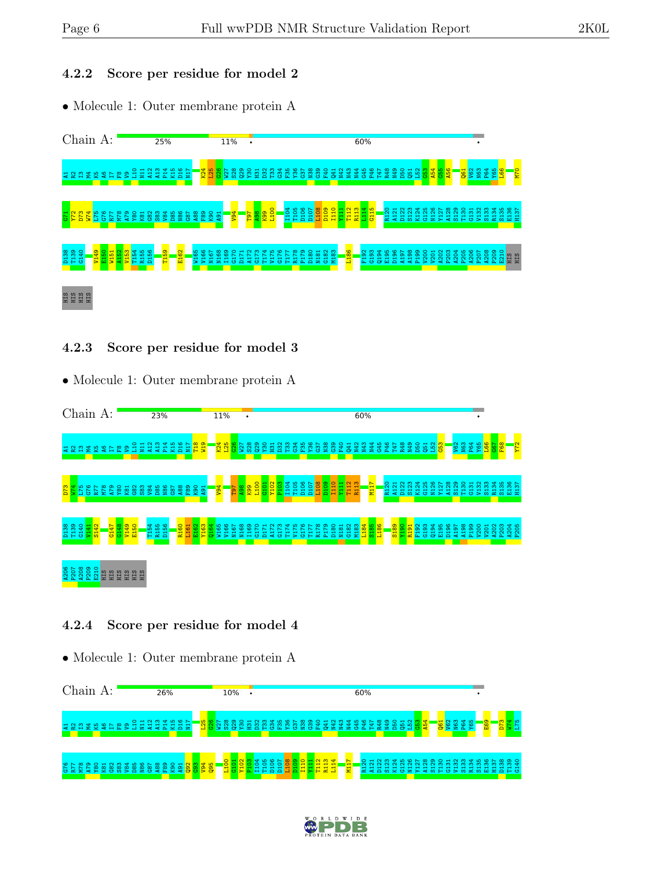#### 4.2.2 Score per residue for model 2

• Molecule 1: Outer membrane protein A



#### 4.2.3 Score per residue for model 3

• Molecule 1: Outer membrane protein A



#### 4.2.4 Score per residue for model 4



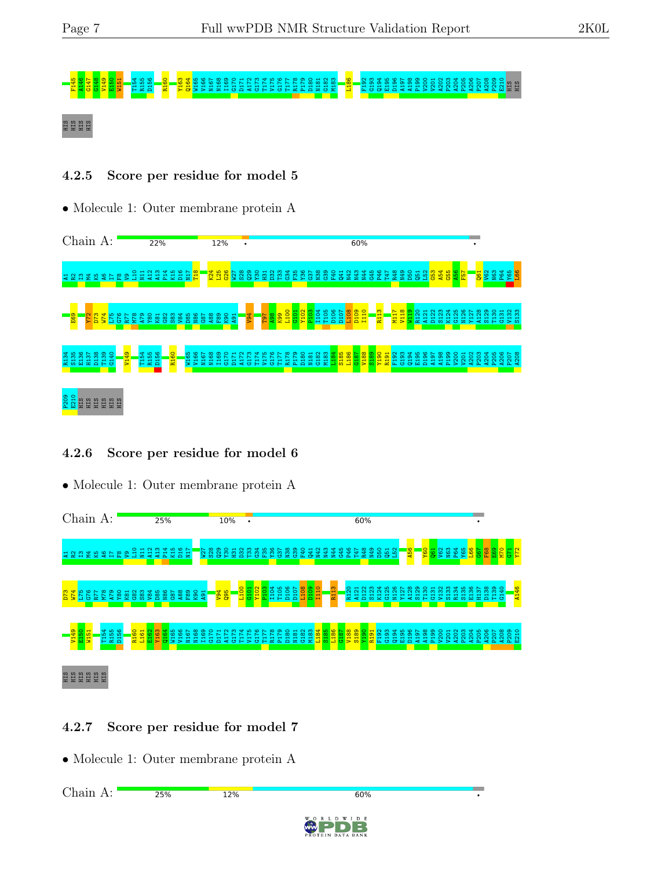# F145 A146 G147 G148 V149 E150 W151 T154 R155 D156 R160 Y163 Q164 W165 V166 N167 N168 I169 G170 D171 A172 G173 T174 V175 G176 T177 R178 P179 D180 N181 G182 M183 L186 F192 G193 Q194 E195 D196 A197 A198 P199 V200 V201 A202 P203 A204 P205 A206 P207 A208 P209 E210 HIS HIS HIS HIS HIS HIS

#### 4.2.5 Score per residue for model 5

• Molecule 1: Outer membrane protein A



#### 4.2.6 Score per residue for model 6

• Molecule 1: Outer membrane protein A



#### 4.2.7 Score per residue for model 7

• Molecule 1: Outer membrane protein A

Chain A:25% 12% 60%

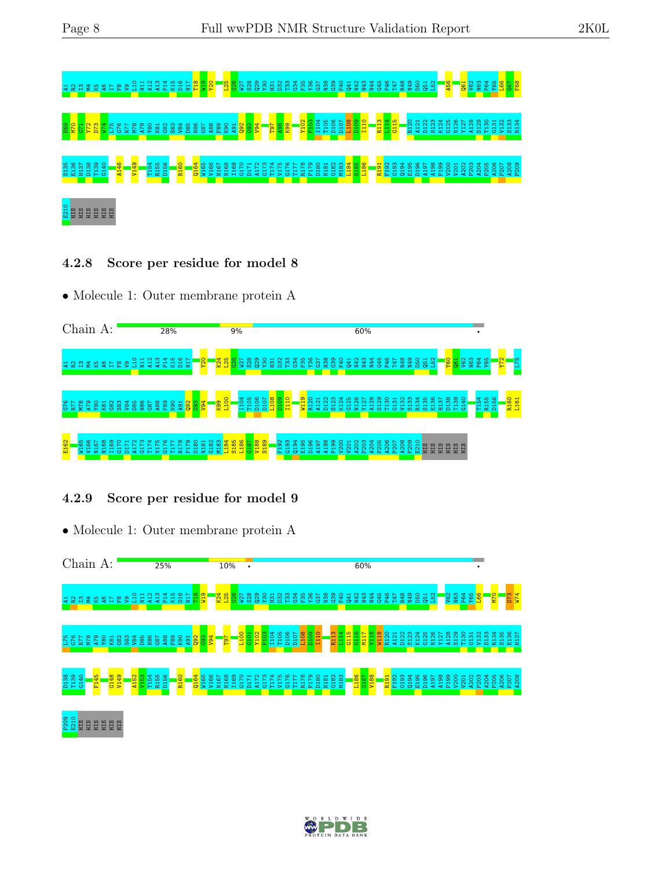

4.2.8 Score per residue for model 8

• Molecule 1: Outer membrane protein A



#### 4.2.9 Score per residue for model 9



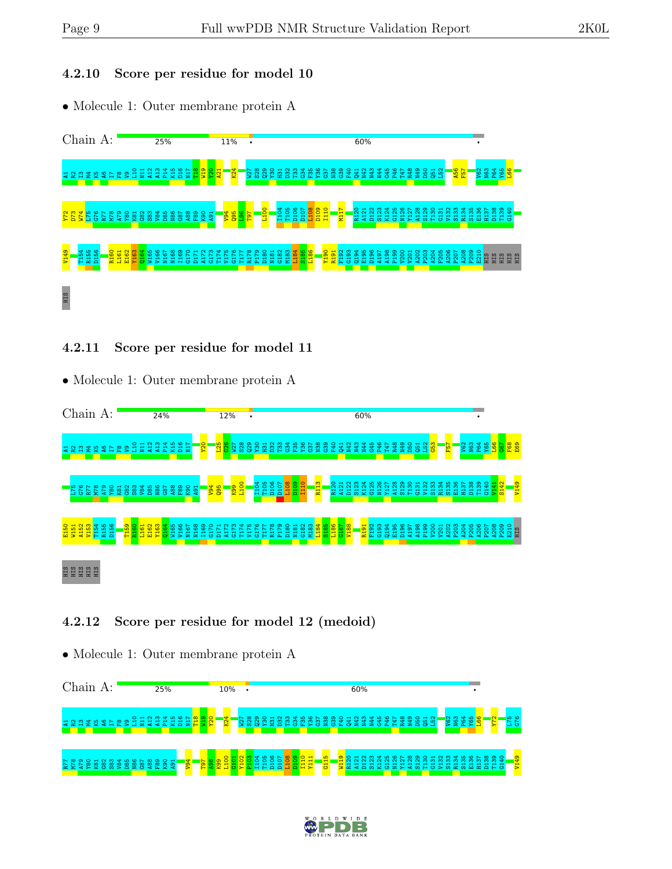#### 4.2.10 Score per residue for model 10

• Molecule 1: Outer membrane protein A



#### 4.2.11 Score per residue for model 11

• Molecule 1: Outer membrane protein A



#### 4.2.12 Score per residue for model 12 (medoid)



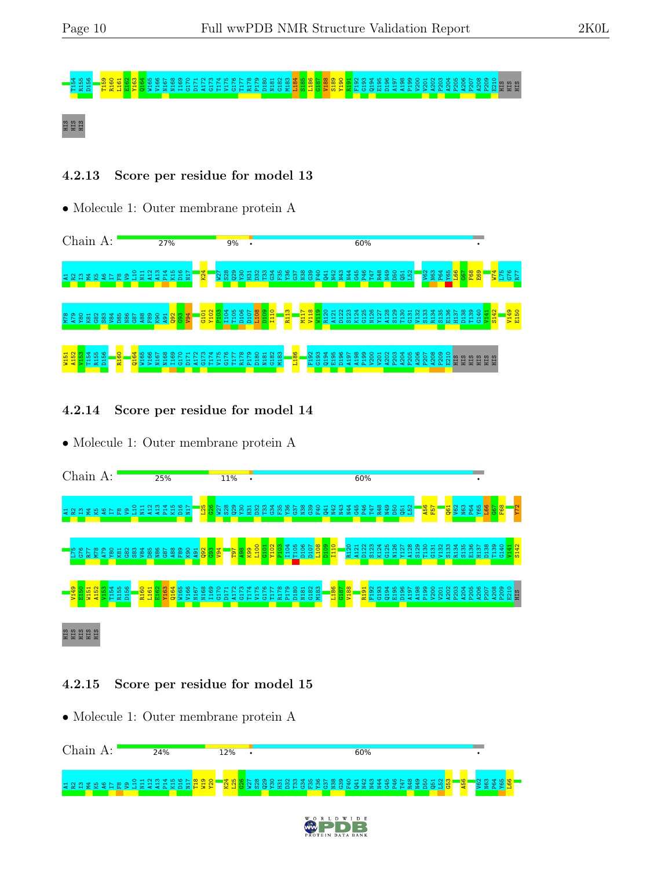# s<br>1986 – Santa Linda Linda Barbara (1986), predstaven predstaven predstaven i slat<br>1986 – Santa Linda Linda Barbara (1986), predstaven predstaven i slat

#### HIS HIS HIS

#### 4.2.13 Score per residue for model 13

• Molecule 1: Outer membrane protein A



4.2.14 Score per residue for model 14

• Molecule 1: Outer membrane protein A



#### 4.2.15 Score per residue for model 15

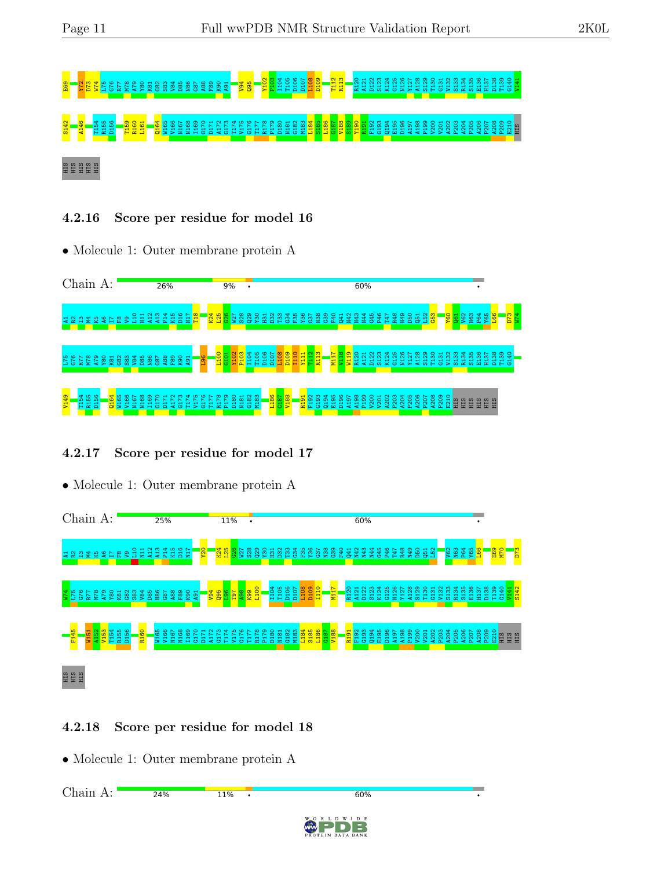# E69 Y72 D73 W74 L75 G76 R77 M78 A79 Y80 K81 G82 S83 V84 D85 N86 G87 A88 F89 K90 A91 V94 Q95 Y102 P103 I104 T105 D106 D107 L108 D109 T112 R113 R120 A121 D122 S123 K124 G125 N126 Y127 A128 S129 T130 G131 V132 S133 R134 S135 E136 H137 D138 T139 G140 V141 S142 A146 T154 R155 D156 T159 R160 L161 Q164 W165 V166 N167 N168 I169 G170 D171 A172 G173 T174 V175 G176 T177 R178 P179 D180 N181 G182 M183 L184 S185 L186 G187 V188 S189 Y190 R191 F192 G193 Q194 E195 D196 A197 A198 P199 V200 V201 A202 P203 A204 P205 A206 P207 A208 P209 E210 HIS

#### S<br>HIS HIS

4.2.16 Score per residue for model 16

• Molecule 1: Outer membrane protein A



#### 4.2.17 Score per residue for model 17

• Molecule 1: Outer membrane protein A



#### 4.2.18 Score per residue for model 18

• Molecule 1: Outer membrane protein A

Chain A:24% 11%  $60%$  $\overline{\phantom{a}}$ W I D E

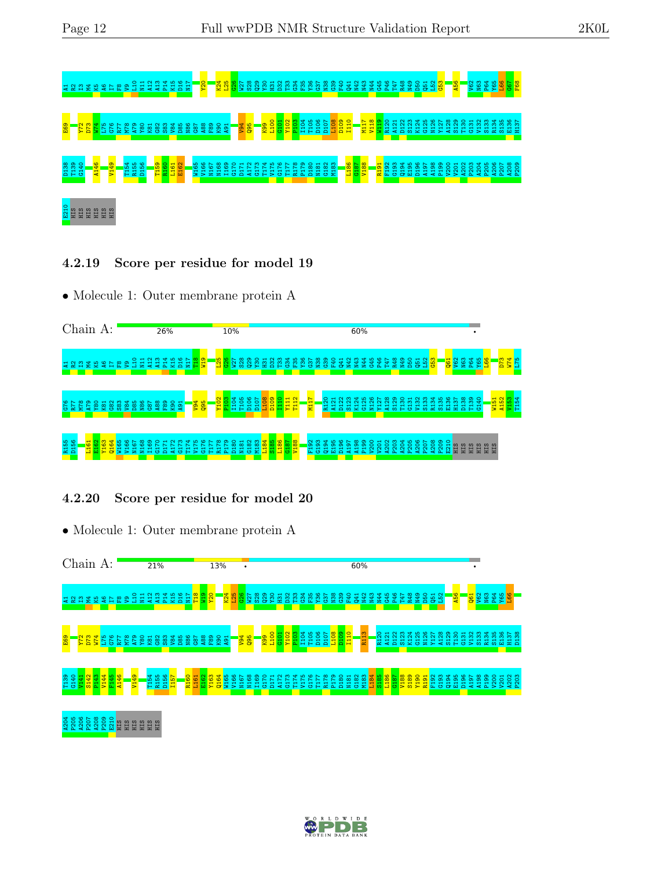

4.2.19 Score per residue for model 19

• Molecule 1: Outer membrane protein A



#### 4.2.20 Score per residue for model 20



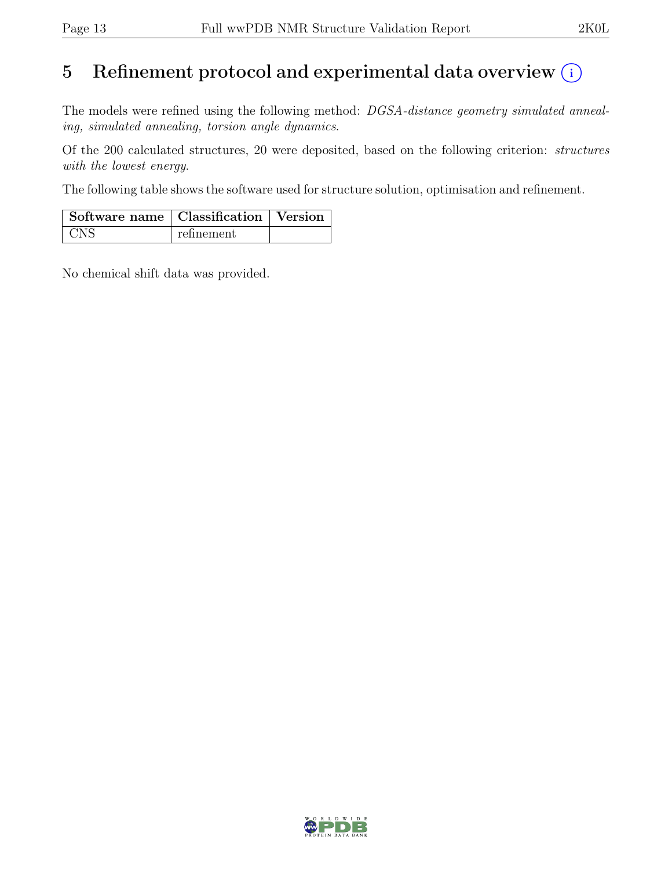# 5 Refinement protocol and experimental data overview  $\odot$

The models were refined using the following method: DGSA-distance geometry simulated annealing, simulated annealing, torsion angle dynamics.

Of the 200 calculated structures, 20 were deposited, based on the following criterion: structures with the lowest energy.

The following table shows the software used for structure solution, optimisation and refinement.

| Software name   Classification   Version |            |  |
|------------------------------------------|------------|--|
| + CNS                                    | refinement |  |

No chemical shift data was provided.

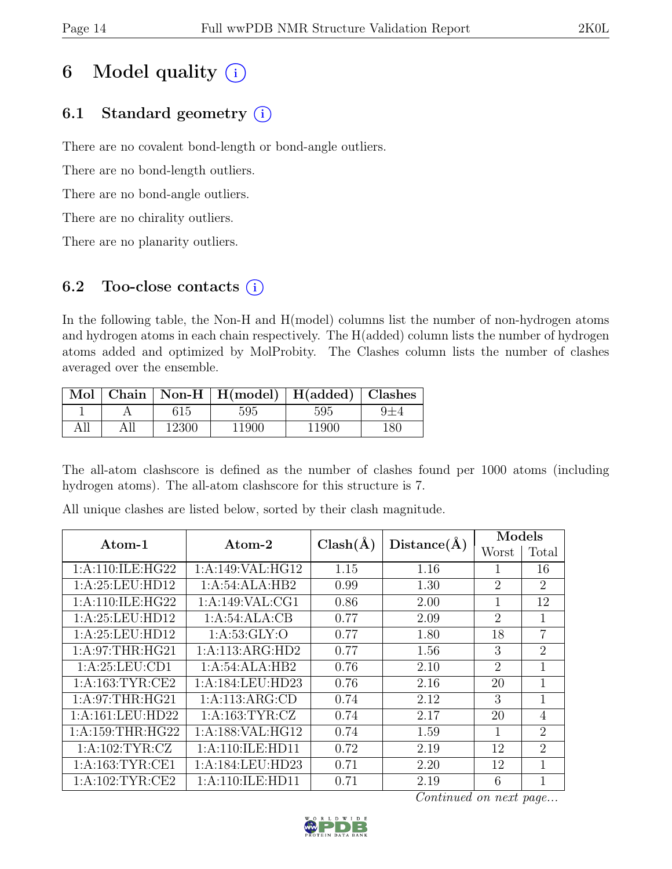# 6 Model quality  $(i)$

## 6.1 Standard geometry  $(i)$

There are no covalent bond-length or bond-angle outliers.

There are no bond-length outliers.

There are no bond-angle outliers.

There are no chirality outliers.

There are no planarity outliers.

#### 6.2 Too-close contacts  $(i)$

In the following table, the Non-H and H(model) columns list the number of non-hydrogen atoms and hydrogen atoms in each chain respectively. The H(added) column lists the number of hydrogen atoms added and optimized by MolProbity. The Clashes column lists the number of clashes averaged over the ensemble.

|     |     |       | Mol   Chain   Non-H   H(model)   H(added)   Clashes |       |     |
|-----|-----|-------|-----------------------------------------------------|-------|-----|
|     |     | 615   | 595                                                 | 595   |     |
| All | All | 12300 | 11900                                               | 11900 | 180 |

The all-atom clashscore is defined as the number of clashes found per 1000 atoms (including hydrogen atoms). The all-atom clashscore for this structure is 7.

| Atom-1               | Atom-2             | $Clash(\AA)$ | $Distance(\AA)$ | Models                      |                |
|----------------------|--------------------|--------------|-----------------|-----------------------------|----------------|
|                      |                    |              |                 | Worst                       | Total          |
| 1: A:110: ILE: HG22  | 1:A:149:VAL:HG12   | 1.15         | 1.16            |                             | 16             |
| 1: A:25:LEU:HD12     | 1:A:54:ALA:HB2     | 0.99         | 1.30            | $\overline{2}$              | $\overline{2}$ |
| 1: A:110: ILE: HG22  | 1:A:149:VAL:CG1    | 0.86         | 2.00            |                             | 12             |
| 1:A:25:LEU:HD12      | 1:A:54:ALA:CB      | 0.77         | 2.09            | $\mathcal{D}_{\mathcal{L}}$ | $\mathbf{1}$   |
| 1: A:25:LEU:HD12     | 1: A:53: GLY:O     | 0.77         | 1.80            | 18                          | $\overline{7}$ |
| 1: A:97:THR:HG21     | 1:A:113:ARG:HD2    | 0.77         | 1.56            | 3                           | $\overline{2}$ |
| 1: A:25:LEU:CD1      | 1:A:54:ALA:HB2     | 0.76         | 2.10            | $\mathcal{D}_{\mathcal{L}}$ | $\mathbf{1}$   |
| 1: A: 163: TYR: CE2  | 1:A:184:LEU:HD23   | 0.76         | 2.16            | 20                          | 1              |
| 1: A:97:THR:HG21     | 1:A:113:ARG:CD     | 0.74         | 2.12            | 3                           | 1              |
| 1:A:161:LEU:HD22     | 1: A: 163: TYR: CZ | 0.74         | 2.17            | 20                          | $\overline{4}$ |
| 1: A: 159: THR: HG22 | 1:A:188:VAL:HG12   | 0.74         | 1.59            | 1                           | $\overline{2}$ |
| 1: A:102:TYR:CZ      | 1:A:110:ILE:HD11   | 0.72         | 2.19            | 12                          | $\overline{2}$ |
| 1: A: 163: TYR: CE1  | 1: A:184:LEU:HD23  | 0.71         | 2.20            | 12                          | $\mathbf{1}$   |
| 1: A:102:TYR:CE2     | 1:A:110:ILE:HD11   | 0.71         | 2.19            | 6                           | 1              |

All unique clashes are listed below, sorted by their clash magnitude.

Continued on next page...

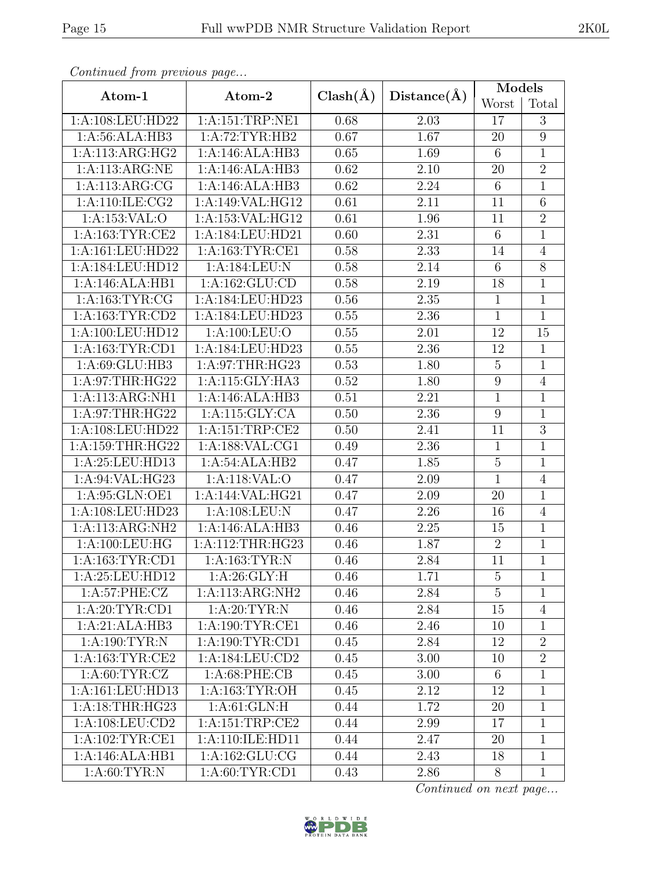| Atom-1              | Atom-2                        | $Clash(\AA)$ | Distance(A) | Models           |                 |  |
|---------------------|-------------------------------|--------------|-------------|------------------|-----------------|--|
|                     |                               |              |             | Worst            | Total           |  |
| 1:A:108:LEU:HD22    | 1:A:151:TRP:NE1               | 0.68         | 2.03        | $17\,$           | 3               |  |
| 1: A:56: ALA:HB3    | 1:A:72:TYR:HB2                | 0.67         | 1.67        | 20               | $9\phantom{.0}$ |  |
| 1:A:113:ARG:HG2     | 1:A:146:ALA:HB3               | 0.65         | 1.69        | $6\phantom{.}6$  | $\mathbf{1}$    |  |
| 1:A:113:ARG:NE      | 1:A:146:ALA:HB3               | 0.62         | 2.10        | 20               | $\overline{2}$  |  |
| 1: A:113:ARG:CG     | 1:A:146:ALA:HB3               | 0.62         | 2.24        | $\,6\,$          | $\,1$           |  |
| 1:A:110:ILE:CG2     | $1:A:149:\overline{V}AL:HGI2$ | 0.61         | 2.11        | 11               | $6\phantom{.}6$ |  |
| 1:A:153:VAL:O       | 1:A:153:VAL:HG12              | 0.61         | 1.96        | 11               | $\overline{2}$  |  |
| 1:A:163:TYR:CE2     | 1:A:184:LEU:HD21              | 0.60         | 2.31        | $6\phantom{.}6$  | $\mathbf{1}$    |  |
| 1:A:161:LEU:HD22    | 1: A: 163: TYR: CE1           | 0.58         | 2.33        | 14               | $\overline{4}$  |  |
| 1:A:184:LEU:HD12    | 1:A:184:LEU:N                 | 0.58         | 2.14        | $6\phantom{.}6$  | $8\,$           |  |
| 1:A:146:ALA:HB1     | 1:A:162:GLU:CD                | 0.58         | 2.19        | 18               | $\mathbf{1}$    |  |
| 1:A:163:TYR:CG      | 1:A:184:LEU:HD23              | 0.56         | 2.35        | $\mathbf{1}$     | $\mathbf{1}$    |  |
| 1: A: 163: TYR: CD2 | 1:A:184:LEU:HD23              | 0.55         | 2.36        | $\mathbf{1}$     | $\mathbf{1}$    |  |
| 1:A:100:LEU:HD12    | 1:A:100:LEU:O                 | 0.55         | 2.01        | 12               | 15              |  |
| 1:A:163:TYR:CD1     | 1:A:184:LEU:HD23              | 0.55         | 2.36        | 12               | $\mathbf{1}$    |  |
| 1: A:69: GLU:HB3    | 1: A:97:THR:HG23              | 0.53         | 1.80        | $\overline{5}$   | $\mathbf{1}$    |  |
| 1:A:97:THR:HG22     | 1:A:115:GLY:HA3               | 0.52         | 1.80        | $\boldsymbol{9}$ | $\overline{4}$  |  |
| 1:A:113:ARG:NH1     | 1:A:146:ALA:HB3               | 0.51         | 2.21        | $\mathbf{1}$     | $\mathbf{1}$    |  |
| 1: A:97:THR:HG22    | 1:A:115:GLY:CA                | 0.50         | 2.36        | 9                | $\mathbf{1}$    |  |
| 1:A:108:LEU:HD22    | 1:A:151:TRP:CE2               | 0.50         | 2.41        | 11               | $\mathfrak{Z}$  |  |
| 1:A:159:THR:HG22    | 1:A:188:VAL:CG1               | 0.49         | 2.36        | $\mathbf{1}$     | $\mathbf{1}$    |  |
| 1:A:25:LEU:HD13     | 1:A:54:ALA:HB2                | 0.47         | 1.85        | $\overline{5}$   | $\mathbf{1}$    |  |
| 1:A:94:VAL:HG23     | 1:A:118:VAL:O                 | 0.47         | 2.09        | $\mathbf{1}$     | $\overline{4}$  |  |
| 1:A:95:GLN:OE1      | 1:A:144:VAL:HG21              | 0.47         | 2.09        | 20               | $\,1$           |  |
| 1:A:108:LEU:HD23    | 1:A:108:LEU:N                 | 0.47         | 2.26        | 16               | $\overline{4}$  |  |
| 1:A:113:ARG:NH2     | 1:A:146:ALA:HB3               | 0.46         | 2.25        | 15               | $\mathbf{1}$    |  |
| 1:A:100:LEU:HG      | 1:A:112:THR:HG23              | 0.46         | 1.87        | $\overline{2}$   | $\mathbf{1}$    |  |
| 1:A:163:TYR:CD1     | 1: A: 163: TYR: N             | 0.46         | 2.84        | $\overline{11}$  | $\overline{1}$  |  |
| 1:A:25:LEU:HD12     | 1: A:26: GLY: H               | 0.46         | 1.71        | $\overline{5}$   | $\mathbf{1}$    |  |
| 1:A:57:PHE:CZ       | 1:A:113:ARG:NH2               | 0.46         | 2.84        | $\overline{5}$   | $\mathbf{1}$    |  |
| 1: A:20: TYR:CD1    | 1: A:20:TYR:N                 | 0.46         | 2.84        | 15               | $\overline{4}$  |  |
| 1:A:21:ALA:HB3      | 1: A: 190: TYR: CE1           | 0.46         | 2.46        | 10               | $\mathbf{1}$    |  |
| 1: A:190: TYR: N    | 1:A:190:TYR:CD1               | 0.45         | 2.84        | 12               | $\overline{2}$  |  |
| 1:A:163:TYR:CE2     | 1:A:184:LEU:CD2               | 0.45         | 3.00        | 10               | $\overline{2}$  |  |
| 1: A:60:TYR:CZ      | 1: A:68:PHE:CB                | 0.45         | 3.00        | $6\phantom{.}6$  | $\mathbf{1}$    |  |
| 1:A:161:LEU:HD13    | 1: A: 163: TYR: OH            | 0.45         | 2.12        | 12               | $\mathbf{1}$    |  |
| 1:A:18:THR:HG23     | 1: A:61: GLN: H               | 0.44         | 1.72        | 20               | $\mathbf{1}$    |  |
| 1: A: 108: LEU: CD2 | 1: A: 151: TRP: CE2           | 0.44         | 2.99        | 17               | $\mathbf{1}$    |  |
| 1: A:102:TYR:CE1    | 1:A:110:ILE:HD11              | 0.44         | 2.47        | 20               | $\mathbf{1}$    |  |
| 1:A:146:ALA:HB1     | 1:A:162:GLU:CG                | 0.44         | 2.43        | 18               | $\mathbf{1}$    |  |
| 1: A:60: TYR:N      | 1:A:60:TYR:CD1                | 0.43         | 2.86        | 8                | $\mathbf{1}$    |  |

Continued from previous page.

Continued on next page...

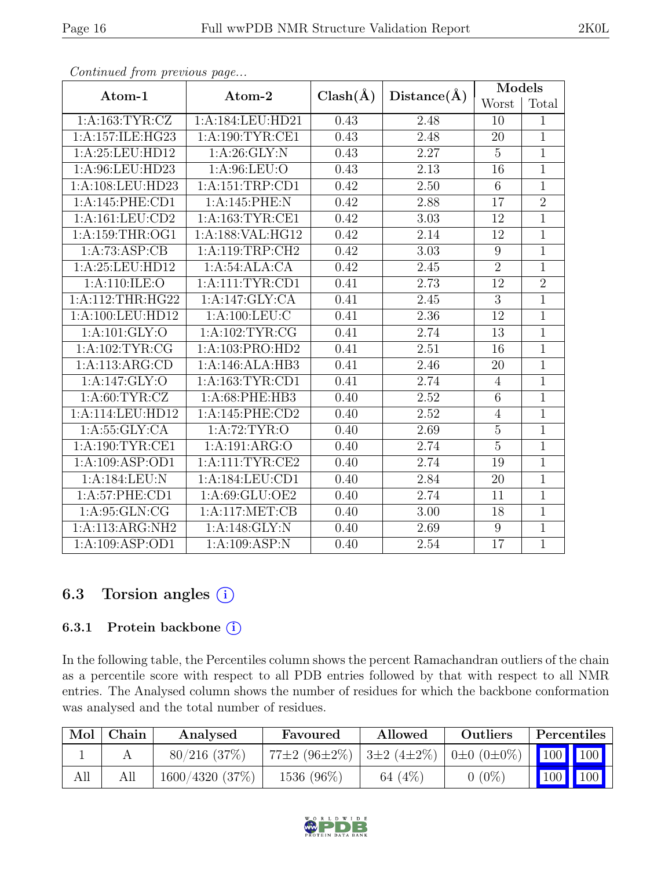| Atom-1             | Atom-2              | $Clash(\AA)$ | Distance(A) | Models         |                |
|--------------------|---------------------|--------------|-------------|----------------|----------------|
|                    |                     |              |             | Worst          | Total          |
| 1: A: 163: TYR: CZ | 1:A:184:LEU:HD21    | 0.43         | 2.48        | 10             | 1              |
| 1:A:157:ILE:HG23   | 1: A:190: TYR: CE1  | 0.43         | 2.48        | 20             | $\overline{1}$ |
| 1:A:25:LEU:HD12    | 1: A:26: GLY:N      | 0.43         | 2.27        | $\overline{5}$ | $\mathbf{1}$   |
| 1:A:96:LEU:HD23    | 1: A:96: LEU:O      | 0.43         | 2.13        | 16             | $\overline{1}$ |
| 1:A:108:LEU:HD23   | 1:A:151:TRP:CD1     | 0.42         | 2.50        | $6\,$          | $\overline{1}$ |
| 1:A:145:PHE:CD1    | 1:A:145:PHE:N       | 0.42         | 2.88        | 17             | $\overline{2}$ |
| 1:A:161:LEU:CD2    | 1:A:163:TYR:CE1     | 0.42         | 3.03        | 12             | $\mathbf{1}$   |
| 1:A:159:THR:OG1    | 1:A:188:VAL:HG12    | 0.42         | 2.14        | 12             | $\mathbf{1}$   |
| 1:A:73:ASP:CB      | 1: A:119:TRP:CH2    | 0.42         | 3.03        | 9              | $\overline{1}$ |
| 1:A:25:LEU:HD12    | 1:A:54:ALA:CA       | 0.42         | 2.45        | $\overline{2}$ | $\mathbf 1$    |
| 1: A:110: ILE: O   | 1: A: 111: TYR: CD1 | 0.41         | 2.73        | 12             | $\overline{2}$ |
| 1:A:112:THR:HG22   | 1:A:147:GLY:CA      | 0.41         | 2.45        | $\overline{3}$ | $\overline{1}$ |
| 1:A:100:LEU:HD12   | 1: A: 100: LEU: C   | 0.41         | 2.36        | 12             | $\mathbf{1}$   |
| 1: A: 101: GLY:O   | 1:A:102:TYR:CG      | 0.41         | 2.74        | 13             | $\overline{1}$ |
| 1: A: 102: TYR: CG | 1:A:103:PRO:HD2     | 0.41         | 2.51        | 16             | $\overline{1}$ |
| 1:A:113:ARG:CD     | 1:A:146:ALA:HB3     | 0.41         | 2.46        | 20             | $\overline{1}$ |
| 1:A:147:GLY:O      | 1: A: 163: TYR: CD1 | 0.41         | 2.74        | $\overline{4}$ | $\mathbf{1}$   |
| 1: A:60: TYR: CZ   | 1:A:68:PHE:HB3      | 0.40         | 2.52        | $\overline{6}$ | $\mathbf{1}$   |
| 1:A:114:LEU:HD12   | $1: A:145:$ PHE:CD2 | 0.40         | 2.52        | $\overline{4}$ | $\overline{1}$ |
| 1: A: 55: GLY: CA  | 1: A:72:TYR:O       | 0.40         | 2.69        | $\overline{5}$ | $\mathbf{1}$   |
| 1:A:190:TYR:CE1    | 1:A:191:ARG:O       | 0.40         | 2.74        | $\overline{5}$ | $\overline{1}$ |
| 1:A:109:ASP:OD1    | $1:$ A:111:TYR:CE2  | 0.40         | 2.74        | 19             | $\overline{1}$ |
| 1:A:184:LEU:N      | 1: A:184:LEU:CD1    | 0.40         | 2.84        | 20             | $\overline{1}$ |
| 1:A:57:PHE:CD1     | 1:A:69:GLU:OE2      | 0.40         | 2.74        | 11             | $\overline{1}$ |
| 1: A:95: GLN:CG    | 1:A:117:MET:CB      | 0.40         | 3.00        | 18             | $\mathbf{1}$   |
| 1:A:113:ARG:NH2    | 1:A:148:GLY:N       | 0.40         | 2.69        | 9              | $\overline{1}$ |
| 1:A:109:ASP:OD1    | 1:A:109:ASP:N       | 0.40         | 2.54        | 17             | $\mathbf{1}$   |

Continued from previous page...

#### 6.3 Torsion angles (i)

#### 6.3.1 Protein backbone ①

In the following table, the Percentiles column shows the percent Ramachandran outliers of the chain as a percentile score with respect to all PDB entries followed by that with respect to all NMR entries. The Analysed column shows the number of residues for which the backbone conformation was analysed and the total number of residues.

| Mol | Chain | Analysed           | Favoured                                           | Allowed   | Outliers | Percentiles |     |
|-----|-------|--------------------|----------------------------------------------------|-----------|----------|-------------|-----|
|     |       | $80/216$ (37\%)    | 77±2 (96±2%)   3±2 (4±2%)   0±0 (0±0%)   100   100 |           |          |             |     |
| All |       | $1600/4320$ (37\%) | 1536 (96%)                                         | 64 $(4%)$ | $0(0\%)$ | 100         | 100 |

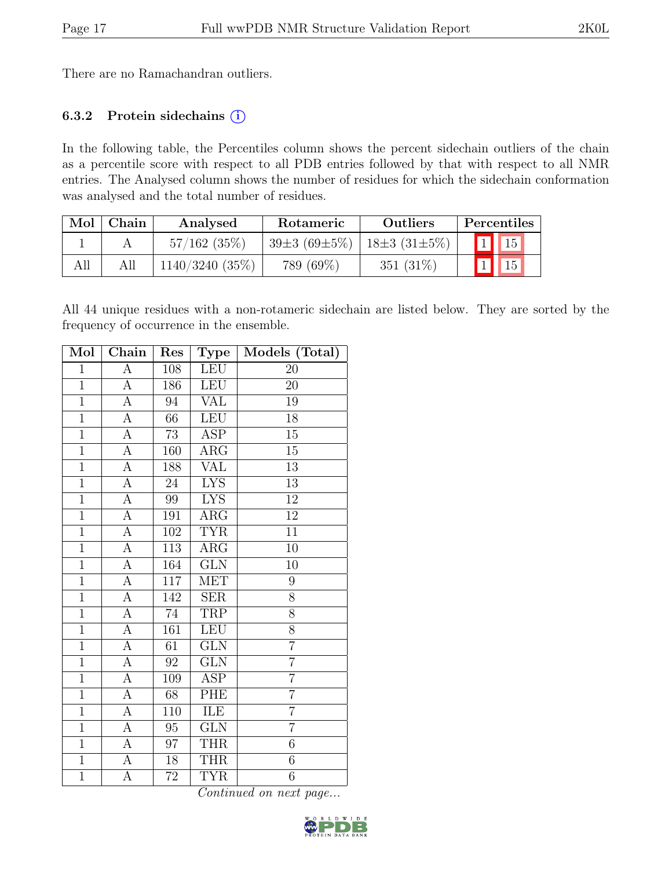There are no Ramachandran outliers.

#### 6.3.2 Protein sidechains  $(i)$

In the following table, the Percentiles column shows the percent sidechain outliers of the chain as a percentile score with respect to all PDB entries followed by that with respect to all NMR entries. The Analysed column shows the number of residues for which the sidechain conformation was analysed and the total number of residues.

| Mol | Chain | Analysed          | Rotameric          | <b>Outliers</b>    | Percentiles |
|-----|-------|-------------------|--------------------|--------------------|-------------|
|     |       | $57/162$ (35%)    | $39\pm3(69\pm5\%)$ | $18\pm3(31\pm5\%)$ | 15          |
| All | All   | $1140/3240(35\%)$ | 789 (69%)          | 351 $(31\%)$       | 15          |

All 44 unique residues with a non-rotameric sidechain are listed below. They are sorted by the frequency of occurrence in the ensemble.

| Mol            | Chain              | Res             | Type                    | Models (Total)  |
|----------------|--------------------|-----------------|-------------------------|-----------------|
| $\overline{1}$ | $\overline{A}$     | 108             | <b>LEU</b>              | 20              |
| $\overline{1}$ | $\overline{A}$     | 186             | LEU                     | 20              |
| $\mathbf{1}$   | А                  | 94              | VAL                     | 19              |
| $\overline{1}$ | $\overline{\rm A}$ | 66              | <b>LEU</b>              | 18              |
| $\overline{1}$ | $\overline{A}$     | 73              | <b>ASP</b>              | 15              |
| $\overline{1}$ | $\overline{\rm A}$ | 160             | $\rm{ARG}$              | $\overline{15}$ |
| $\overline{1}$ | А                  | 188             | $\overline{\text{VAL}}$ | $\overline{13}$ |
| $\overline{1}$ | $\overline{A}$     | 24              | <b>LYS</b>              | 13              |
| $\overline{1}$ | $\overline{\rm A}$ | 99              | <b>LYS</b>              | $\overline{12}$ |
| $\overline{1}$ | $\overline{\rm A}$ | 191             | $\rm{ARG}$              | $\overline{12}$ |
| $\mathbf{1}$   | A                  | 102             | <b>TYR</b>              | 11              |
| $\mathbf{1}$   | А                  | 113             | $\overline{\text{ARG}}$ | 10              |
| $\mathbf{1}$   | A                  | 164             | GLN                     | 10              |
| $\overline{1}$ | $\overline{A}$     | 117             | MET                     | 9               |
| $\overline{1}$ | A                  | 142             | <b>SER</b>              | 8               |
| $\overline{1}$ | A                  | $\overline{7}4$ | <b>TRP</b>              | 8               |
| $\overline{1}$ | $\overline{A}$     | 161             | <b>LEU</b>              | 8               |
| $\overline{1}$ | $\overline{A}$     | 61              | GLN                     | $\overline{7}$  |
| $\overline{1}$ | $\overline{A}$     | $\overline{92}$ | $\overline{\text{GLN}}$ | $\overline{7}$  |
| $\overline{1}$ | А                  | 109             | ASP                     | $\overline{7}$  |
| $\overline{1}$ | $\overline{\rm A}$ | 68              | PHE                     | $\overline{7}$  |
| $\overline{1}$ | $\overline{A}$     | 110             | ILE                     | $\overline{7}$  |
| $\overline{1}$ | $\overline{A}$     | $95\,$          | GLN                     | $\overline{7}$  |
| $\overline{1}$ | $\overline{A}$     | $\overline{97}$ | <b>THR</b>              | $\overline{6}$  |
| $\overline{1}$ | A                  | 18              | THR                     | $\sqrt{6}$      |
| $\overline{1}$ | $\overline{A}$     | $\overline{72}$ | <b>TYR</b>              | $\overline{6}$  |

Continued on next page...

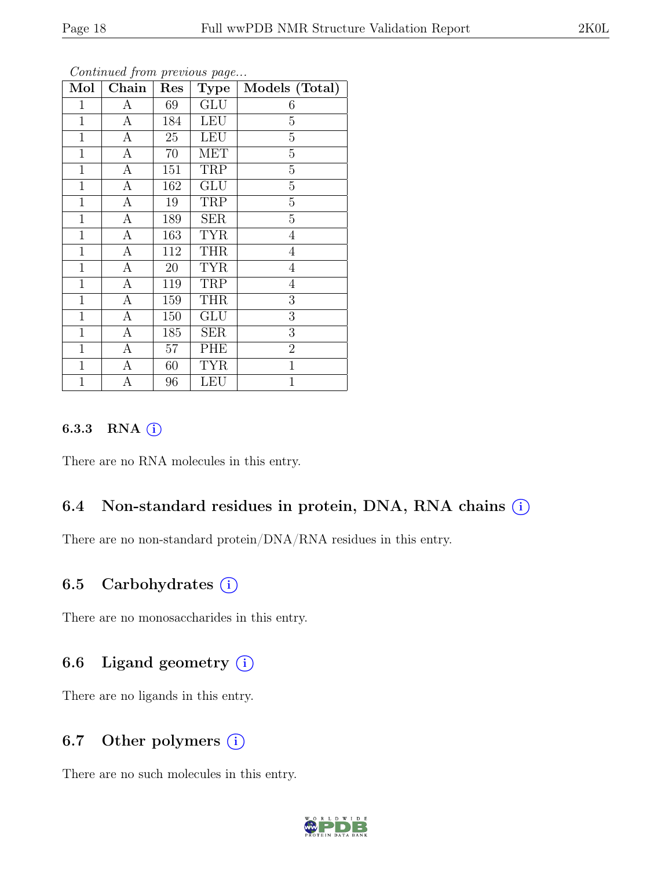| ۰. |
|----|
|----|

| Mol            | Chain            | Res | <b>Type</b> | Models (Total) |
|----------------|------------------|-----|-------------|----------------|
| 1              | A                | 69  | <b>GLU</b>  | 6              |
| $\mathbf{1}$   | A                | 184 | <b>LEU</b>  | $\overline{5}$ |
| $\mathbf{1}$   | А                | 25  | <b>LEU</b>  | $\overline{5}$ |
| $\mathbf 1$    | $\boldsymbol{A}$ | 70  | <b>MET</b>  | $\overline{5}$ |
| $\mathbf{1}$   | $\boldsymbol{A}$ | 151 | TRP         | $\overline{5}$ |
| $\mathbf 1$    | $\mathbf{A}$     | 162 | <b>GLU</b>  | $\overline{5}$ |
| $\mathbf{1}$   | $\mathbf{A}$     | 19  | TRP         | $\overline{5}$ |
| $\mathbf{1}$   | $\overline{A}$   | 189 | <b>SER</b>  | $\overline{5}$ |
| $\mathbf{1}$   | $\mathbf{A}$     | 163 | <b>TYR</b>  | $\overline{4}$ |
| $\mathbf{1}$   | A                | 112 | <b>THR</b>  | $\overline{4}$ |
| $\mathbf{1}$   | A                | 20  | <b>TYR</b>  | $\overline{4}$ |
| $\mathbf{1}$   | $\boldsymbol{A}$ | 119 | TRP         | $\overline{4}$ |
| $\overline{1}$ | $\boldsymbol{A}$ | 159 | <b>THR</b>  | 3              |
| $\mathbf{1}$   | $\boldsymbol{A}$ | 150 | GLU         | 3              |
| $\mathbf{1}$   | $\overline{A}$   | 185 | <b>SER</b>  | 3              |
| $\mathbf{1}$   | $\boldsymbol{A}$ | 57  | PHE         | $\overline{2}$ |
| $\mathbf 1$    | A                | 60  | <b>TYR</b>  | $\,1$          |
| $\mathbf{1}$   | А                | 96  | <b>LEU</b>  | $\mathbf{1}$   |

Continued from previous page...

#### 6.3.3 RNA  $(i)$

There are no RNA molecules in this entry.

#### 6.4 Non-standard residues in protein, DNA, RNA chains (i)

There are no non-standard protein/DNA/RNA residues in this entry.

#### 6.5 Carbohydrates  $(i)$

There are no monosaccharides in this entry.

#### 6.6 Ligand geometry  $(i)$

There are no ligands in this entry.

#### 6.7 Other polymers  $(i)$

There are no such molecules in this entry.

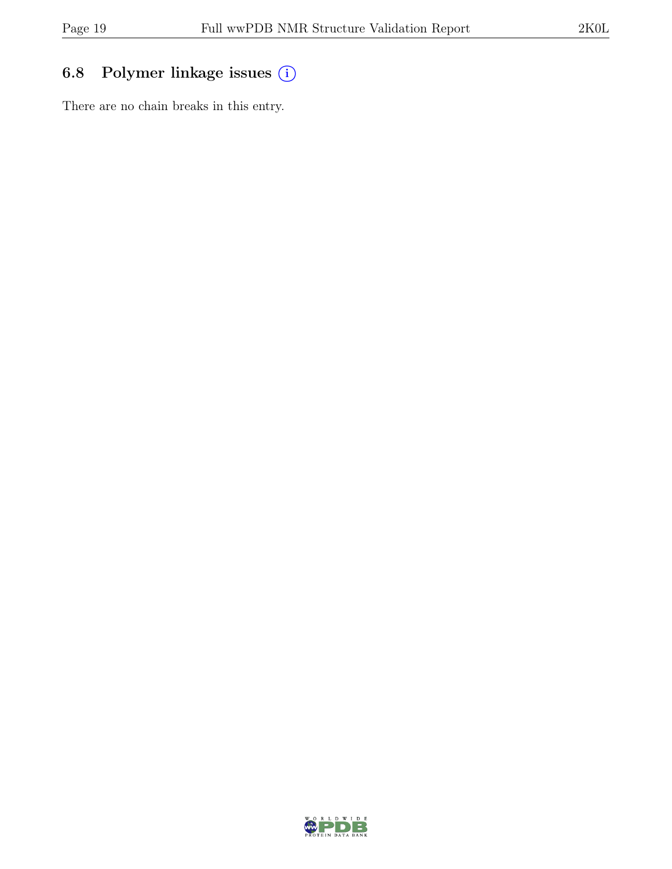## 6.8 Polymer linkage issues (i)

There are no chain breaks in this entry.